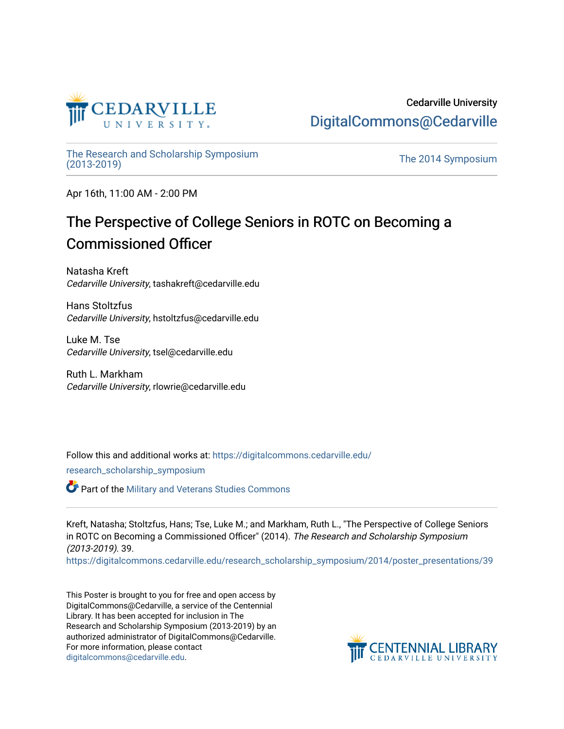

#### Cedarville University [DigitalCommons@Cedarville](https://digitalcommons.cedarville.edu/)

[The Research and Scholarship Symposium](https://digitalcommons.cedarville.edu/research_scholarship_symposium) 

The 2014 Symposium

Apr 16th, 11:00 AM - 2:00 PM

#### The Perspective of College Seniors in ROTC on Becoming a Commissioned Officer

Natasha Kreft Cedarville University, tashakreft@cedarville.edu

Hans Stoltzfus Cedarville University, hstoltzfus@cedarville.edu

Luke M. Tse Cedarville University, tsel@cedarville.edu

Ruth L. Markham Cedarville University, rlowrie@cedarville.edu

Follow this and additional works at: [https://digitalcommons.cedarville.edu/](https://digitalcommons.cedarville.edu/research_scholarship_symposium?utm_source=digitalcommons.cedarville.edu%2Fresearch_scholarship_symposium%2F2014%2Fposter_presentations%2F39&utm_medium=PDF&utm_campaign=PDFCoverPages)

[research\\_scholarship\\_symposium](https://digitalcommons.cedarville.edu/research_scholarship_symposium?utm_source=digitalcommons.cedarville.edu%2Fresearch_scholarship_symposium%2F2014%2Fposter_presentations%2F39&utm_medium=PDF&utm_campaign=PDFCoverPages) 

**Part of the [Military and Veterans Studies Commons](http://network.bepress.com/hgg/discipline/396?utm_source=digitalcommons.cedarville.edu%2Fresearch_scholarship_symposium%2F2014%2Fposter_presentations%2F39&utm_medium=PDF&utm_campaign=PDFCoverPages)** 

Kreft, Natasha; Stoltzfus, Hans; Tse, Luke M.; and Markham, Ruth L., "The Perspective of College Seniors in ROTC on Becoming a Commissioned Officer" (2014). The Research and Scholarship Symposium (2013-2019). 39.

[https://digitalcommons.cedarville.edu/research\\_scholarship\\_symposium/2014/poster\\_presentations/39](https://digitalcommons.cedarville.edu/research_scholarship_symposium/2014/poster_presentations/39?utm_source=digitalcommons.cedarville.edu%2Fresearch_scholarship_symposium%2F2014%2Fposter_presentations%2F39&utm_medium=PDF&utm_campaign=PDFCoverPages) 

This Poster is brought to you for free and open access by DigitalCommons@Cedarville, a service of the Centennial Library. It has been accepted for inclusion in The Research and Scholarship Symposium (2013-2019) by an authorized administrator of DigitalCommons@Cedarville. For more information, please contact [digitalcommons@cedarville.edu](mailto:digitalcommons@cedarville.edu).